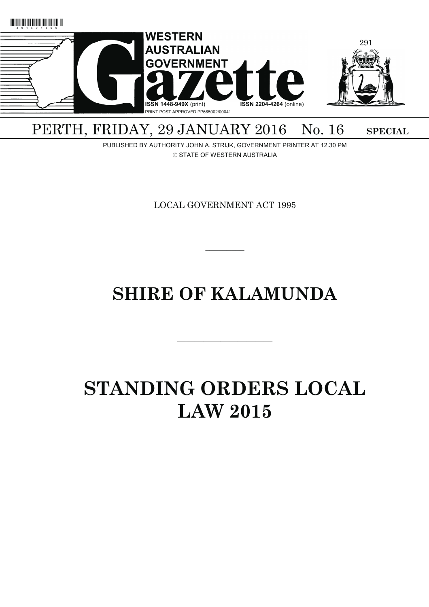

## PERTH, FRIDAY, 29 JANUARY 2016 No. 16 SPECIAL

PUBLISHED BY AUTHORITY JOHN A. STRIJK, GOVERNMENT PRINTER AT 12.30 PM © STATE OF WESTERN AUSTRALIA

LOCAL GOVERNMENT ACT 1995

 $\overline{\phantom{a}}$ 

## **SHIRE OF KALAMUNDA**

———————————

# **STANDING ORDERS LOCAL LAW 2015**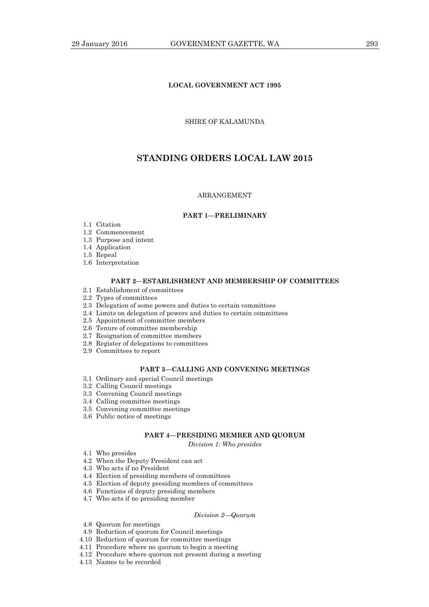## **LOCAL GOVERNMENT ACT 1995**

## SHIRE OF KALAMUNDA

## **STANDING ORDERS LOCAL LAW 2015**

## ARRANGEMENT

## **PART 1—PRELIMINARY**

- 1.1 Citation
- 1.2 Commencement
- 1.3 Purpose and intent
- 1.4 Application
- 1.5 Repeal
- 1.6 Interpretation

## **PART 2—ESTABLISHMENT AND MEMBERSHIP OF COMMITTEES**

- 2.1 Establishment of committees
- 2.2 Types of committees
- 2.3 Delegation of some powers and duties to certain committees
- 2.4 Limits on delegation of powers and duties to certain committees
- 2.5 Appointment of committee members
- 2.6 Tenure of committee membership
- 2.7 Resignation of committee members
- 2.8 Register of delegations to committees
- 2.9 Committees to report

## **PART 3—CALLING AND CONVENING MEETINGS**

- 3.1 Ordinary and special Council meetings
- 3.2 Calling Council meetings
- 3.3 Convening Council meetings
- 3.4 Calling committee meetings
- 3.5 Convening committee meetings
- 3.6 Public notice of meetings

#### **PART 4—PRESIDING MEMBER AND QUORUM**

*Division 1: Who presides* 

- 4.1 Who presides
- 4.2 When the Deputy President can act
- 4.3 Who acts if no President
- 4.4 Election of presiding members of committees
- 4.5 Election of deputy presiding members of committees
- 4.6 Functions of deputy presiding members
- 4.7 Who acts if no presiding member

#### *Division 2—Quorum*

- 4.8 Quorum for meetings
- 4.9 Reduction of quorum for Council meetings
- 4.10 Reduction of quorum for committee meetings
- 4.11 Procedure where no quorum to begin a meeting
- 4.12 Procedure where quorum not present during a meeting
- 4.13 Names to be recorded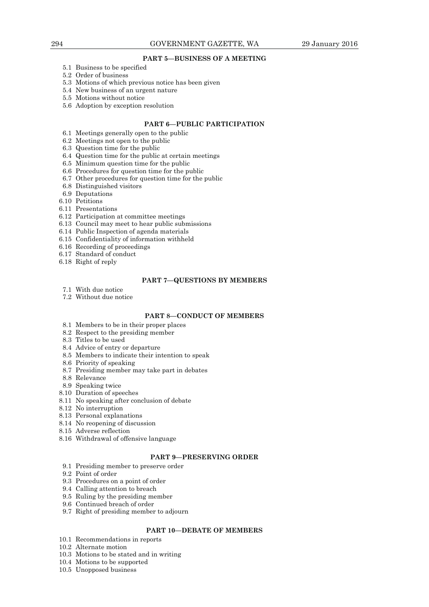## **PART 5—BUSINESS OF A MEETING**

- 5.1 Business to be specified
- 5.2 Order of business
- 5.3 Motions of which previous notice has been given
- 5.4 New business of an urgent nature
- 5.5 Motions without notice
- 5.6 Adoption by exception resolution

## **PART 6—PUBLIC PARTICIPATION**

- 6.1 Meetings generally open to the public
- 6.2 Meetings not open to the public
- 6.3 Question time for the public
- 6.4 Question time for the public at certain meetings
- 6.5 Minimum question time for the public
- 6.6 Procedures for question time for the public
- 6.7 Other procedures for question time for the public
- 6.8 Distinguished visitors
- 6.9 Deputations
- 6.10 Petitions
- 6.11 Presentations
- 6.12 Participation at committee meetings
- 6.13 Council may meet to hear public submissions
- 6.14 Public Inspection of agenda materials
- 6.15 Confidentiality of information withheld
- 6.16 Recording of proceedings
- 6.17 Standard of conduct
- 6.18 Right of reply

## **PART 7—QUESTIONS BY MEMBERS**

- 7.1 With due notice
- 7.2 Without due notice

## **PART 8—CONDUCT OF MEMBERS**

- 8.1 Members to be in their proper places
- 8.2 Respect to the presiding member
- 8.3 Titles to be used
- 8.4 Advice of entry or departure
- 8.5 Members to indicate their intention to speak
- 8.6 Priority of speaking
- 8.7 Presiding member may take part in debates
- 8.8 Relevance
- 8.9 Speaking twice
- 8.10 Duration of speeches
- 8.11 No speaking after conclusion of debate
- 8.12 No interruption
- 8.13 Personal explanations
- 8.14 No reopening of discussion
- 8.15 Adverse reflection
- 8.16 Withdrawal of offensive language

## **PART 9—PRESERVING ORDER**

- 9.1 Presiding member to preserve order
- 9.2 Point of order
- 9.3 Procedures on a point of order
- 9.4 Calling attention to breach
- 9.5 Ruling by the presiding member
- 9.6 Continued breach of order
- 9.7 Right of presiding member to adjourn

## **PART 10—DEBATE OF MEMBERS**

- 10.1 Recommendations in reports
- 10.2 Alternate motion
- 10.3 Motions to be stated and in writing
- 10.4 Motions to be supported
- 10.5 Unopposed business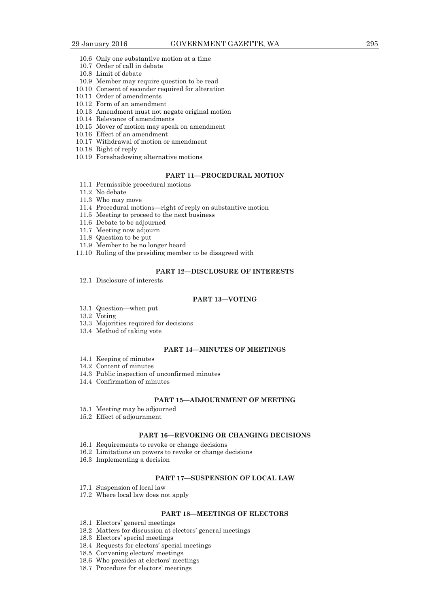- 10.6 Only one substantive motion at a time
- 10.7 Order of call in debate
- 10.8 Limit of debate
- 10.9 Member may require question to be read
- 10.10 Consent of seconder required for alteration
- 10.11 Order of amendments
- 10.12 Form of an amendment
- 10.13 Amendment must not negate original motion
- 10.14 Relevance of amendments
- 10.15 Mover of motion may speak on amendment
- 10.16 Effect of an amendment
- 10.17 Withdrawal of motion or amendment
- 10.18 Right of reply
- 10.19 Foreshadowing alternative motions

## **PART 11—PROCEDURAL MOTION**

- 11.1 Permissible procedural motions
- 11.2 No debate
- 11.3 Who may move
- 11.4 Procedural motions—right of reply on substantive motion
- 11.5 Meeting to proceed to the next business
- 11.6 Debate to be adjourned
- 11.7 Meeting now adjourn
- 11.8 Question to be put
- 11.9 Member to be no longer heard
- 11.10 Ruling of the presiding member to be disagreed with

## **PART 12—DISCLOSURE OF INTERESTS**

12.1 Disclosure of interests

## **PART 13—VOTING**

- 13.1 Question—when put
- 13.2 Voting
- 13.3 Majorities required for decisions
- 13.4 Method of taking vote

#### **PART 14—MINUTES OF MEETINGS**

- 14.1 Keeping of minutes
- 14.2 Content of minutes
- 14.3 Public inspection of unconfirmed minutes
- 14.4 Confirmation of minutes

#### **PART 15—ADJOURNMENT OF MEETING**

- 15.1 Meeting may be adjourned
- 15.2 Effect of adjournment

#### **PART 16—REVOKING OR CHANGING DECISIONS**

- 16.1 Requirements to revoke or change decisions
- 16.2 Limitations on powers to revoke or change decisions
- 16.3 Implementing a decision

## **PART 17—SUSPENSION OF LOCAL LAW**

- 17.1 Suspension of local law
- 17.2 Where local law does not apply

#### **PART 18—MEETINGS OF ELECTORS**

- 18.1 Electors' general meetings
- 18.2 Matters for discussion at electors' general meetings
- 18.3 Electors' special meetings
- 18.4 Requests for electors' special meetings
- 18.5 Convening electors' meetings
- 18.6 Who presides at electors' meetings
- 18.7 Procedure for electors' meetings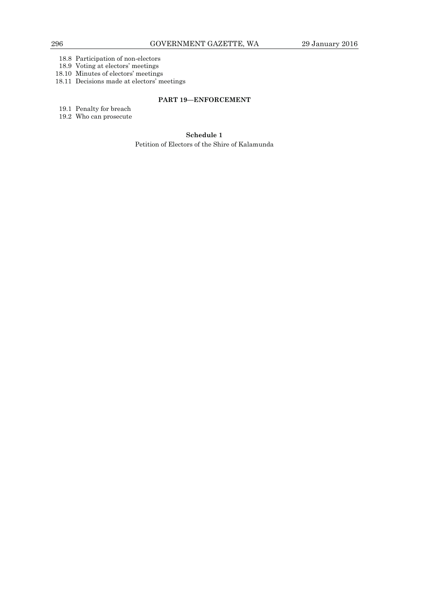18.8 Participation of non-electors

18.9 Voting at electors' meetings

18.10 Minutes of electors' meetings

18.11 Decisions made at electors' meetings

## **PART 19—ENFORCEMENT**

19.1 Penalty for breach

19.2 Who can prosecute

## **Schedule 1**

Petition of Electors of the Shire of Kalamunda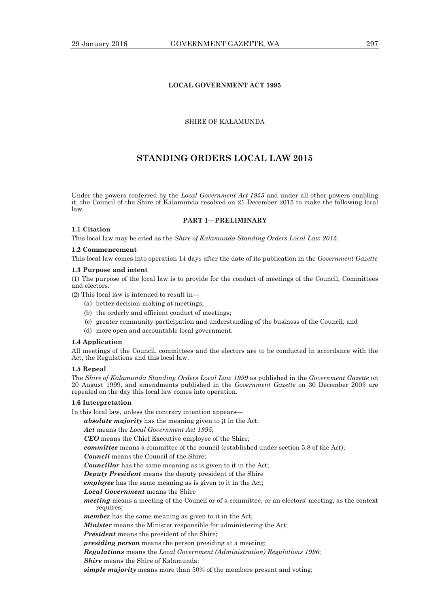## **LOCAL GOVERNMENT ACT 1995**

## SHIRE OF KALAMUNDA

## **STANDING ORDERS LOCAL LAW 2015**

Under the powers conferred by the *Local Government Act 1955* and under all other powers enabling it, the Council of the Shire of Kalamunda resolved on 21 December 2015 to make the following local law.

#### **PART 1—PRELIMINARY**

## **1.1 Citation**

This local law may be cited as the *Shire of Kalamunda Standing Orders Local Law 2015.* 

#### **1.2 Commencement**

This local law comes into operation 14 days after the date of its publication in the *Government Gazette* 

#### **1.3 Purpose and intent**

(1) The purpose of the local law is to provide for the conduct of meetings of the Council, Committees and electors.

(2) This local law is intended to result in—

- (a) better decision-making at meetings;
- (b) the orderly and efficient conduct of meetings;
- (c) greater community participation and understanding of the business of the Council; and
- (d) more open and accountable local government.

## **1.4 Application**

All meetings of the Council, committees and the electors are to be conducted in accordance with the Act, the Regulations and this local law.

#### **1.5 Repeal**

The *Shire of Kalamunda Standing Orders Local Law 1999* as published in the *Government Gazette* on 20 August 1999, and amendments published in the *Government Gazette* on 30 December 2003 are repealed on the day this local law comes into operation.

#### **1.6 Interpretation**

In this local law, unless the contrary intention appears—

*absolute majority* has the meaning given to ¡t in the Act;

*Act* means the *Local Government Act 1995*;

*CEO* means the Chief Executive employee of the Shire;

*committee* means a committee of the council (established under section 5.8 of the Act);

*Council* means the Council of the Shire;

*Councillor* has the same meaning as is given to it in the Act;

*Deputy President* means the deputy president of the Shire

*employee* has the same meaning as is given to it in the Act;

*Local Government* means the Shire

*meeting* means a meeting of the Council or of a committee, or an electors' meeting, as the context requires;

*member* has the same meaning as given to it in the Act;

*Minister* means the Minister responsible for administering the Act;

*President* means the president of the Shire;

*presiding person* means the person presiding at a meeting;

*Regulations* means the *Local Government (Administration) Regulations 1996*;

*Shire* means the Shire of Kalamunda;

*simple majority* means more than 50% of the members present and voting;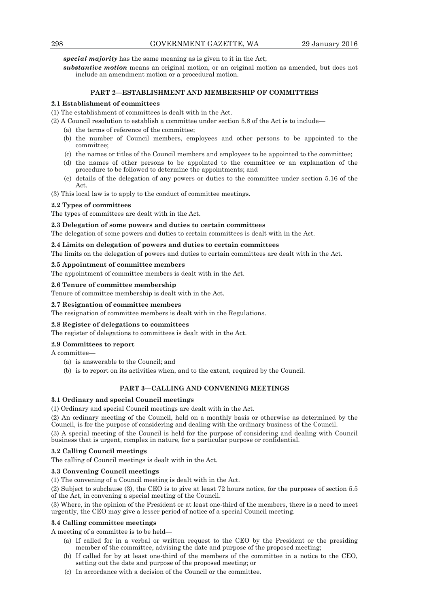*special majority* has the same meaning as is given to it in the Act;

*substantive motion* means an original motion, or an original motion as amended, but does not include an amendment motion or a procedural motion.

## **PART 2—ESTABLISHMENT AND MEMBERSHIP OF COMMITTEES**

## **2.1 Establishment of committees**

(1) The establishment of committees is dealt with in the Act.

(2) A Council resolution to establish a committee under section 5.8 of the Act is to include—

- (a) the terms of reference of the committee;
- (b) the number of Council members, employees and other persons to be appointed to the committee;
- (c) the names or titles of the Council members and employees to be appointed to the committee;
- (d) the names of other persons to be appointed to the committee or an explanation of the procedure to be followed to determine the appointments; and
- (e) details of the delegation of any powers or duties to the committee under section 5.16 of the Act.

(3) This local law is to apply to the conduct of committee meetings.

#### **2.2 Types of committees**

The types of committees are dealt with in the Act.

#### **2.3 Delegation of some powers and duties to certain committees**

The delegation of some powers and duties to certain committees is dealt with in the Act.

#### **2.4 Limits on delegation of powers and duties to certain committees**

The limits on the delegation of powers and duties to certain committees are dealt with in the Act.

## **2.5 Appointment of committee members**

The appointment of committee members is dealt with in the Act.

#### **2.6 Tenure of committee membership**

Tenure of committee membership is dealt with in the Act.

#### **2.7 Resignation of committee members**

The resignation of committee members is dealt with in the Regulations.

#### **2.8 Register of delegations to committees**

The register of delegations to committees is dealt with in the Act.

## **2.9 Committees to report**

A committee—

- (a) is answerable to the Council; and
- (b) is to report on its activities when, and to the extent, required by the Council.

## **PART 3—CALLING AND CONVENING MEETINGS**

#### **3.1 Ordinary and special Council meetings**

(1) Ordinary and special Council meetings are dealt with in the Act.

(2) An ordinary meeting of the Council, held on a monthly basis or otherwise as determined by the Council, is for the purpose of considering and dealing with the ordinary business of the Council.

(3) A special meeting of the Council is held for the purpose of considering and dealing with Council business that is urgent, complex in nature, for a particular purpose or confidential.

## **3.2 Calling Council meetings**

The calling of Council meetings is dealt with in the Act.

#### **3.3 Convening Council meetings**

(1) The convening of a Council meeting is dealt with in the Act.

(2) Subject to subclause (3), the CEO is to give at least 72 hours notice, for the purposes of section 5.5 of the Act, in convening a special meeting of the Council.

(3) Where, in the opinion of the President or at least one-third of the members, there is a need to meet urgently, the CEO may give a lesser period of notice of a special Council meeting.

#### **3.4 Calling committee meetings**

A meeting of a committee is to be held—

- (a) If called for in a verbal or written request to the CEO by the President or the presiding member of the committee, advising the date and purpose of the proposed meeting;
- (b) If called for by at least one-third of the members of the committee in a notice to the CEO, setting out the date and purpose of the proposed meeting; or
- (c) In accordance with a decision of the Council or the committee.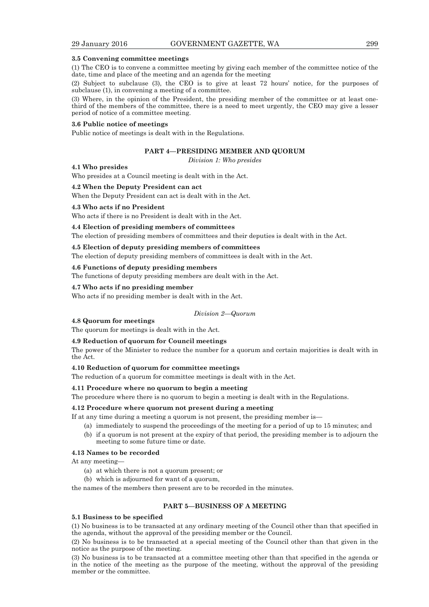#### **3.5 Convening committee meetings**

(1) The CEO is to convene a committee meeting by giving each member of the committee notice of the date, time and place of the meeting and an agenda for the meeting

(2) Subject to subclause (3), the CEO is to give at least 72 hours' notice, for the purposes of subclause (1), in convening a meeting of a committee.

(3) Where, in the opinion of the President, the presiding member of the committee or at least onethird of the members of the committee, there is a need to meet urgently, the CEO may give a lesser period of notice of a committee meeting.

#### **3.6 Public notice of meetings**

Public notice of meetings is dealt with in the Regulations.

#### **PART 4—PRESIDING MEMBER AND QUORUM**

*Division 1: Who presides* 

#### **4.1 Who presides**

Who presides at a Council meeting is dealt with in the Act.

#### **4.2 When the Deputy President can act**

When the Deputy President can act is dealt with in the Act.

#### **4.3 Who acts if no President**

Who acts if there is no President is dealt with in the Act.

## **4.4 Election of presiding members of committees**

The election of presiding members of committees and their deputies is dealt with in the Act.

#### **4.5 Election of deputy presiding members of committees**

The election of deputy presiding members of committees is dealt with in the Act.

## **4.6 Functions of deputy presiding members**

The functions of deputy presiding members are dealt with in the Act.

## **4.7 Who acts if no presiding member**

Who acts if no presiding member is dealt with in the Act.

#### *Division 2—Quorum*

#### **4.8 Quorum for meetings**

The quorum for meetings is dealt with in the Act.

#### **4.9 Reduction of quorum for Council meetings**

The power of the Minister to reduce the number for a quorum and certain majorities is dealt with in the Act.

#### **4.10 Reduction of quorum for committee meetings**

The reduction of a quorum for committee meetings is dealt with in the Act.

## **4.11 Procedure where no quorum to begin a meeting**

The procedure where there is no quorum to begin a meeting is dealt with in the Regulations.

#### **4.12 Procedure where quorum not present during a meeting**

If at any time during a meeting a quorum is not present, the presiding member is—

- (a) immediately to suspend the proceedings of the meeting for a period of up to 15 minutes; and
- (b) if a quorum is not present at the expiry of that period, the presiding member is to adjourn the meeting to some future time or date.

## **4.13 Names to be recorded**

At any meeting—

- (a) at which there is not a quorum present; or
- (b) which is adjourned for want of a quorum,

the names of the members then present are to be recorded in the minutes.

#### **PART 5—BUSINESS OF A MEETING**

#### **5.1 Business to be specified**

(1) No business is to be transacted at any ordinary meeting of the Council other than that specified in the agenda, without the approval of the presiding member or the Council.

(2) No business is to be transacted at a special meeting of the Council other than that given in the notice as the purpose of the meeting.

(3) No business is to be transacted at a committee meeting other than that specified in the agenda or in the notice of the meeting as the purpose of the meeting, without the approval of the presiding member or the committee.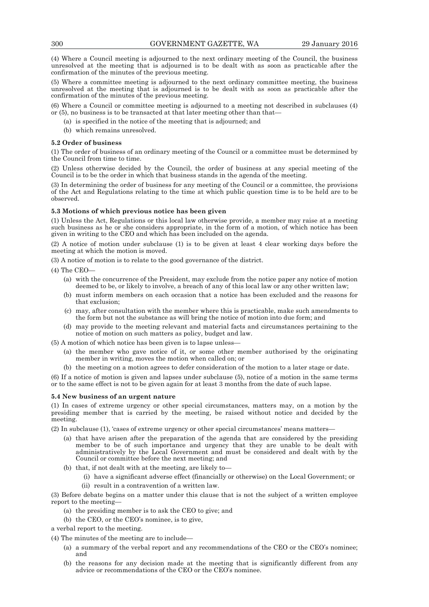(4) Where a Council meeting is adjourned to the next ordinary meeting of the Council, the business unresolved at the meeting that is adjourned is to be dealt with as soon as practicable after the confirmation of the minutes of the previous meeting.

(5) Where a committee meeting is adjourned to the next ordinary committee meeting, the business unresolved at the meeting that is adjourned is to be dealt with as soon as practicable after the confirmation of the minutes of the previous meeting.

(6) Where a Council or committee meeting is adjourned to a meeting not described in subclauses (4) or (5), no business is to be transacted at that later meeting other than that—

- (a) is specified in the notice of the meeting that is adjourned; and
- (b) which remains unresolved.

#### **5.2 Order of business**

(1) The order of business of an ordinary meeting of the Council or a committee must be determined by the Council from time to time.

(2) Unless otherwise decided by the Council, the order of business at any special meeting of the Council is to be the order in which that business stands in the agenda of the meeting.

(3) In determining the order of business for any meeting of the Council or a committee, the provisions of the Act and Regulations relating to the time at which public question time is to be held are to be observed.

#### **5.3 Motions of which previous notice has been given**

(1) Unless the Act, Regulations or this local law otherwise provide, a member may raise at a meeting such business as he or she considers appropriate, in the form of a motion, of which notice has been given in writing to the CEO and which has been included on the agenda.

(2) A notice of motion under subclause (1) is to be given at least 4 clear working days before the meeting at which the motion is moved.

(3) A notice of motion is to relate to the good governance of the district.

(4) The CEO—

- (a) with the concurrence of the President, may exclude from the notice paper any notice of motion deemed to be, or likely to involve, a breach of any of this local law or any other written law;
- (b) must inform members on each occasion that a notice has been excluded and the reasons for that exclusion;
- (c) may, after consultation with the member where this is practicable, make such amendments to the form but not the substance as will bring the notice of motion into due form; and
- (d) may provide to the meeting relevant and material facts and circumstances pertaining to the notice of motion on such matters as policy, budget and law.

(5) A motion of which notice has been given is to lapse unless—

- (a) the member who gave notice of it, or some other member authorised by the originating member in writing, moves the motion when called on; or
- (b) the meeting on a motion agrees to defer consideration of the motion to a later stage or date.

(6) If a notice of motion is given and lapses under subclause (5), notice of a motion in the same terms or to the same effect is not to be given again for at least 3 months from the date of such lapse.

#### **5.4 New business of an urgent nature**

(1) In cases of extreme urgency or other special circumstances, matters may, on a motion by the presiding member that is carried by the meeting, be raised without notice and decided by the meeting.

(2) In subclause (1), 'cases of extreme urgency or other special circumstances' means matters—

- (a) that have arisen after the preparation of the agenda that are considered by the presiding member to be of such importance and urgency that they are unable to be dealt with administratively by the Local Government and must be considered and dealt with by the Council or committee before the next meeting; and
- (b) that, if not dealt with at the meeting, are likely to—
	- (i) have a significant adverse effect (financially or otherwise) on the Local Government; or
	- (ii) result in a contravention of a written law.

(3) Before debate begins on a matter under this clause that is not the subject of a written employee report to the meeting—

- (a) the presiding member is to ask the CEO to give; and
- (b) the CEO, or the CEO's nominee, is to give,

a verbal report to the meeting.

(4) The minutes of the meeting are to include—

- (a) a summary of the verbal report and any recommendations of the CEO or the CEO's nominee; and
- (b) the reasons for any decision made at the meeting that is significantly different from any advice or recommendations of the CEO or the CEO's nominee.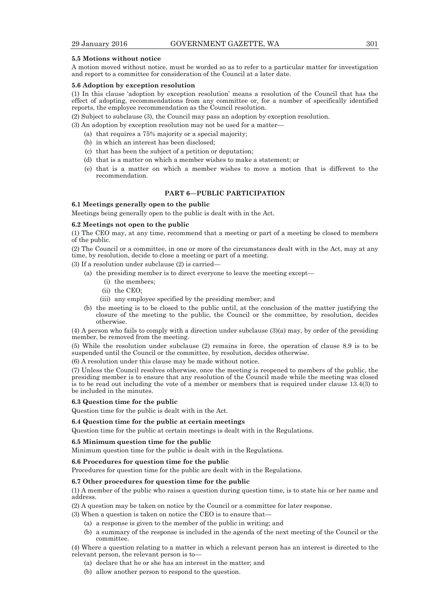#### **5.5 Motions without notice**

A motion moved without notice, must be worded so as to refer to a particular matter for investigation and report to a committee for consideration of the Council at a later date.

#### **5.6 Adoption by exception resolution**

(1) In this clause 'adoption by exception resolution' means a resolution of the Council that has the effect of adopting, recommendations from any committee or, for a number of specifically identified reports, the employee recommendation as the Council resolution.

(2) Subject to subclause (3), the Council may pass an adoption by exception resolution.

(3) An adoption by exception resolution may not be used for a matter—

- (a) that requires a 75% majority or a special majority;
- (b) in which an interest has been disclosed;
- (c) that has been the subject of a petition or deputation;
- (d) that is a matter on which a member wishes to make a statement; or
- (e) that is a matter on which a member wishes to move a motion that is different to the recommendation.

## **PART 6—PUBLIC PARTICIPATION**

## **6.1 Meetings generally open to the public**

Meetings being generally open to the public is dealt with in the Act.

#### **6.2 Meetings not open to the public**

(1) The CEO may, at any time, recommend that a meeting or part of a meeting be closed to members of the public.

(2) The Council or a committee, in one or more of the circumstances dealt with in the Act, may at any time, by resolution, decide to close a meeting or part of a meeting.

(3) If a resolution under subclause (2) is carried—

- (a) the presiding member is to direct everyone to leave the meeting except—
	- (i) the members;
	- (ii) the CEO;
	- (iii) any employee specified by the presiding member; and
- (b) the meeting is to be closed to the public until, at the conclusion of the matter justifying the closure of the meeting to the public, the Council or the committee, by resolution, decides otherwise.

(4) A person who fails to comply with a direction under subclause (3)(a) may, by order of the presiding member, be removed from the meeting.

(5) While the resolution under subclause (2) remains in force, the operation of clause 8.9 is to be suspended until the Council or the committee, by resolution, decides otherwise.

(6) A resolution under this clause may be made without notice.

(7) Unless the Council resolves otherwise, once the meeting is reopened to members of the public, the presiding member is to ensure that any resolution of the Council made while the meeting was closed is to be read out including the vote of a member or members that is required under clause 13.4(3) to be included in the minutes.

#### **6.3 Question time for the public**

Question time for the public is dealt with in the Act.

#### **6.4 Question time for the public at certain meetings**

Question time for the public at certain meetings is dealt with in the Regulations.

#### **6.5 Minimum question time for the public**

Minimum question time for the public is dealt with in the Regulations.

## **6.6 Procedures for question time for the public**

Procedures for question time for the public are dealt with in the Regulations.

#### **6.7 Other procedures for question time for the public**

(1) A member of the public who raises a question during question time, is to state his or her name and address.

(2) A question may be taken on notice by the Council or a committee for later response.

- (3) When a question is taken on notice the CEO is to ensure that—
	- (a) a response is given to the member of the public in writing; and
		- (b) a summary of the response is included in the agenda of the next meeting of the Council or the committee.

(4) Where a question relating to a matter in which a relevant person has an interest is directed to the relevant person, the relevant person is to—

- (a) declare that he or she has an interest in the matter; and
- (b) allow another person to respond to the question.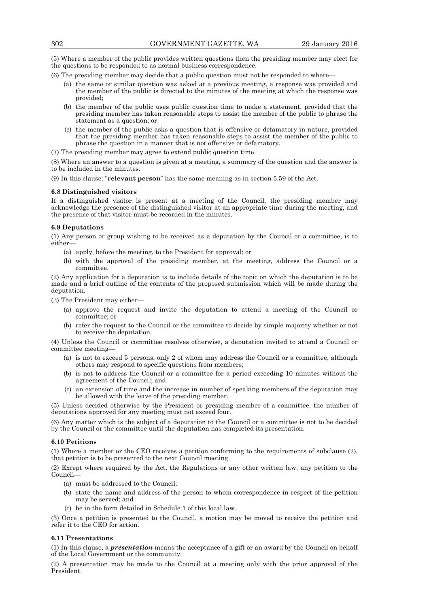(5) Where a member of the public provides written questions then the presiding member may elect for the questions to be responded to as normal business correspondence.

- (6) The presiding member may decide that a public question must not be responded to where—
	- (a) the same or similar question was asked at a previous meeting, a response was provided and the member of the public is directed to the minutes of the meeting at which the response was provided;
	- (b) the member of the public uses public question time to make a statement, provided that the presiding member has taken reasonable steps to assist the member of the public to phrase the statement as a question; or
	- (c) the member of the public asks a question that is offensive or defamatory in nature, provided that the presiding member has taken reasonable steps to assist the member of the public to phrase the question in a manner that is not offensive or defamatory.

(7) The presiding member may agree to extend public question time.

(8) Where an answer to a question is given at a meeting, a summary of the question and the answer is to be included in the minutes.

(9) In this clause: "**relevant person**" has the same meaning as in section 5.59 of the Act.

#### **6.8 Distinguished visitors**

If a distinguished visitor is present at a meeting of the Council, the presiding member may acknowledge the presence of the distinguished visitor at an appropriate time during the meeting, and the presence of that visitor must be recorded in the minutes.

## **6.9 Deputations**

(1) Any person or group wishing to be received as a deputation by the Council or a committee, is to either—

- (a) apply, before the meeting, to the President for approval; or
- (b) with the approval of the presiding member, at the meeting, address the Council or a committee.

(2) Any application for a deputation is to include details of the topic on which the deputation is to be made and a brief outline of the contents of the proposed submission which will be made during the deputation.

(3) The President may either—

- (a) approve the request and invite the deputation to attend a meeting of the Council or committee; or
- (b) refer the request to the Council or the committee to decide by simple majority whether or not to receive the deputation.

(4) Unless the Council or committee resolves otherwise, a deputation invited to attend a Council or committee meeting—

- (a) is not to exceed 5 persons, only 2 of whom may address the Council or a committee, although others may respond to specific questions from members;
- (b) is not to address the Council or a committee for a period exceeding 10 minutes without the agreement of the Council; and
- (c) an extension of time and the increase in number of speaking members of the deputation may be allowed with the leave of the presiding member.

(5) Unless decided otherwise by the President or presiding member of a committee, the number of deputations approved for any meeting must not exceed four.

(6) Any matter which is the subject of a deputation to the Council or a committee is not to be decided by the Council or the committee until the deputation has completed its presentation.

#### **6.10 Petitions**

(1) Where a member or the CEO receives a petition conforming to the requirements of subclause (2), that petition is to be presented to the next Council meeting.

(2) Except where required by the Act, the Regulations or any other written law, any petition to the Council—

- (a) must be addressed to the Council;
- (b) state the name and address of the person to whom correspondence in respect of the petition may be served; and
- (c) be in the form detailed in Schedule 1 of this local law.

(3) Once a petition is presented to the Council, a motion may be moved to receive the petition and refer it to the CEO for action.

#### **6.11 Presentations**

(1) In this clause, a *presentation* means the acceptance of a gift or an award by the Council on behalf of the Local Government or the community.

(2) A presentation may be made to the Council at a meeting only with the prior approval of the President.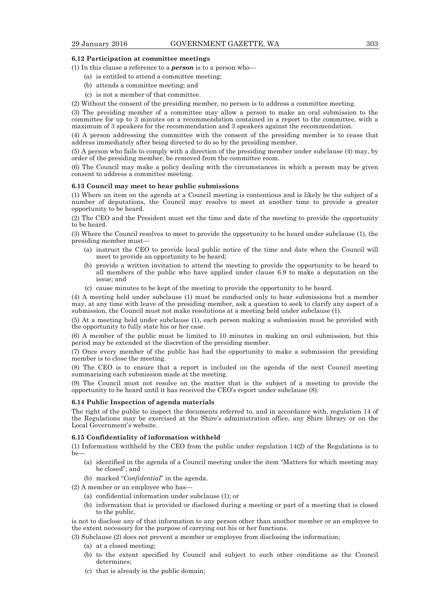#### **6.12 Participation at committee meetings**

(1) In this clause a reference to a *person* is to a person who—

- (a) is entitled to attend a committee meeting;
- (b) attends a committee meeting; and
- (c) is not a member of that committee.

(2) Without the consent of the presiding member, no person is to address a committee meeting.

(3) The presiding member of a committee may allow a person to make an oral submission to the committee for up to 3 minutes on a recommendation contained in a report to the committee, with a maximum of 3 speakers for the recommendation and 3 speakers against the recommendation.

(4) A person addressing the committee with the consent of the presiding member is to cease that address immediately after being directed to do so by the presiding member.

(5) A person who fails to comply with a direction of the presiding member under subclause (4) may, by order of the presiding member, be removed from the committee room.

(6) The Council may make a policy dealing with the circumstances in which a person may be given consent to address a committee meeting.

#### **6.13 Council may meet to hear public submissions**

(1) Where an item on the agenda at a Council meeting is contentious and is likely be the subject of a number of deputations, the Council may resolve to meet at another time to provide a greater opportunity to be heard.

(2) The CEO and the President must set the time and date of the meeting to provide the opportunity to be heard.

(3) Where the Council resolves to meet to provide the opportunity to be heard under subclause (1), the presiding member must—

- (a) instruct the CEO to provide local public notice of the time and date when the Council will meet to provide an opportunity to be heard;
- (b) provide a written invitation to attend the meeting to provide the opportunity to be heard to all members of the public who have applied under clause 6.9 to make a deputation on the issue; and
- (c) cause minutes to be kept of the meeting to provide the opportunity to be heard.

(4) A meeting held under subclause (1) must be conducted only to hear submissions but a member may, at any time with leave of the presiding member, ask a question to seek to clarify any aspect of a submission, the Council must not make resolutions at a meeting held under subclause (1).

(5) At a meeting held under subclause (1), each person making a submission must be provided with the opportunity to fully state his or her case.

(6) A member of the public must be limited to 10 minutes in making an oral submission, but this period may be extended at the discretion of the presiding member.

(7) Once every member of the public has had the opportunity to make a submission the presiding member is to close the meeting.

(8) The CEO is to ensure that a report is included on the agenda of the next Council meeting summarising each submission made at the meeting.

(9) The Council must not resolve on the matter that is the subject of a meeting to provide the opportunity to be heard until it has received the CEO's report under subclause (8).

#### **6.14 Public Inspection of agenda materials**

The right of the public to inspect the documents referred to, and in accordance with, regulation 14 of the Regulations may be exercised at the Shire's administration office, any Shire library or on the Local Government's website.

## **6.15 Confidentiality of information withheld**

(1) Information withheld by the CEO from the public under regulation 14(2) of the Regulations is to  $be$ 

- (a) identified in the agenda of a Council meeting under the item "Matters for which meeting may be closed"; and
- (b) marked "*Confidential*" in the agenda.

(2) A member or an employee who has—

- (a) confidential information under subclause (1); or
- (b) information that is provided or disclosed during a meeting or part of a meeting that is closed to the public,

is not to disclose any of that information to any person other than another member or an employee to the extent necessary for the purpose of carrying out his or her functions.

(3) Subclause (2) does not prevent a member or employee from disclosing the information;

- (a) at a closed meeting;
- (b) to the extent specified by Council and subject to such other conditions as the Council determines;
- (c) that is already in the public domain;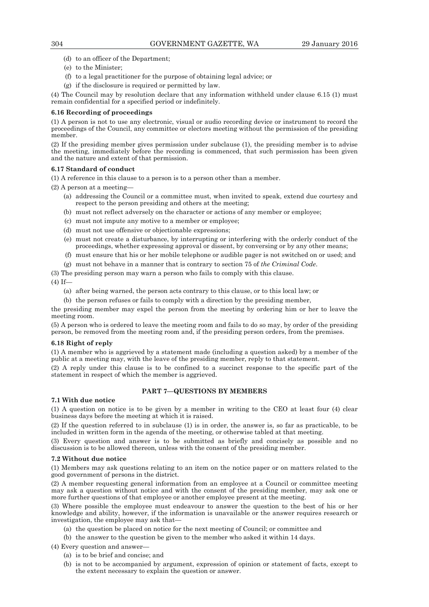- (d) to an officer of the Department;
- (e) to the Minister;
- (f) to a legal practitioner for the purpose of obtaining legal advice; or
- (g) if the disclosure is required or permitted by law.

(4) The Council may by resolution declare that any information withheld under clause 6.15 (1) must remain confidential for a specified period or indefinitely.

#### **6.16 Recording of proceedings**

(1) A person is not to use any electronic, visual or audio recording device or instrument to record the proceedings of the Council, any committee or electors meeting without the permission of the presiding member.

(2) If the presiding member gives permission under subclause (1), the presiding member is to advise the meeting, immediately before the recording is commenced, that such permission has been given and the nature and extent of that permission.

#### **6.17 Standard of conduct**

(1) A reference in this clause to a person is to a person other than a member.

(2) A person at a meeting—

- (a) addressing the Council or a committee must, when invited to speak, extend due courtesy and respect to the person presiding and others at the meeting;
- (b) must not reflect adversely on the character or actions of any member or employee;
- (c) must not impute any motive to a member or employee;
- (d) must not use offensive or objectionable expressions;
- (e) must not create a disturbance, by interrupting or interfering with the orderly conduct of the proceedings, whether expressing approval or dissent, by conversing or by any other means;
- (f) must ensure that his or her mobile telephone or audible pager is not switched on or used; and
- (g) must not behave in a manner that is contrary to section 75 of *the Criminal Code*.

(3) The presiding person may warn a person who fails to comply with this clause.

(4) If—

(a) after being warned, the person acts contrary to this clause, or to this local law; or

(b) the person refuses or fails to comply with a direction by the presiding member,

the presiding member may expel the person from the meeting by ordering him or her to leave the meeting room.

(5) A person who is ordered to leave the meeting room and fails to do so may, by order of the presiding person, be removed from the meeting room and, if the presiding person orders, from the premises.

## **6.18 Right of reply**

(1) A member who is aggrieved by a statement made (including a question asked) by a member of the public at a meeting may, with the leave of the presiding member, reply to that statement.

(2) A reply under this clause is to be confined to a succinct response to the specific part of the statement in respect of which the member is aggrieved.

## **PART 7—QUESTIONS BY MEMBERS**

#### **7.1 With due notice**

(1) A question on notice is to be given by a member in writing to the CEO at least four (4) clear business days before the meeting at which it is raised.

(2) If the question referred to in subclause (1) is in order, the answer is, so far as practicable, to be included in written form in the agenda of the meeting, or otherwise tabled at that meeting.

(3) Every question and answer is to be submitted as briefly and concisely as possible and no discussion is to be allowed thereon, unless with the consent of the presiding member.

#### **7.2 Without due notice**

(1) Members may ask questions relating to an item on the notice paper or on matters related to the good government of persons in the district.

(2) A member requesting general information from an employee at a Council or committee meeting may ask a question without notice and with the consent of the presiding member, may ask one or more further questions of that employee or another employee present at the meeting.

(3) Where possible the employee must endeavour to answer the question to the best of his or her knowledge and ability, however, if the information is unavailable or the answer requires research or investigation, the employee may ask that—

- (a) the question be placed on notice for the next meeting of Council; or committee and
- (b) the answer to the question be given to the member who asked it within 14 days.

(4) Every question and answer—

- (a) is to be brief and concise; and
- (b) is not to be accompanied by argument, expression of opinion or statement of facts, except to the extent necessary to explain the question or answer.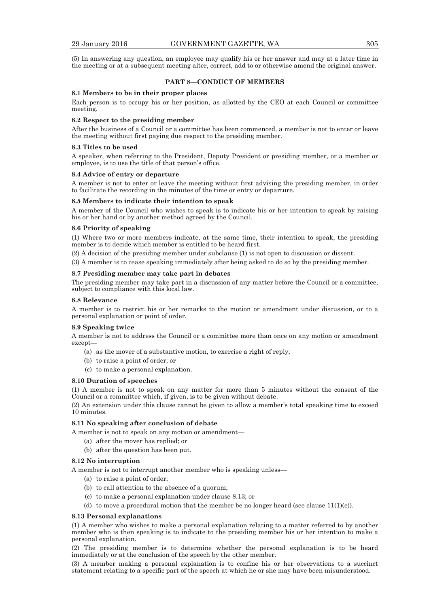(5) In answering any question, an employee may qualify his or her answer and may at a later time in the meeting or at a subsequent meeting alter, correct, add to or otherwise amend the original answer.

## **PART 8—CONDUCT OF MEMBERS**

## **8.1 Members to be in their proper places**

Each person is to occupy his or her position, as allotted by the CEO at each Council or committee meeting.

#### **8.2 Respect to the presiding member**

After the business of a Council or a committee has been commenced, a member is not to enter or leave the meeting without first paying due respect to the presiding member.

#### **8.3 Titles to be used**

A speaker, when referring to the President, Deputy President or presiding member, or a member or employee, is to use the title of that person's office.

## **8.4 Advice of entry or departure**

A member is not to enter or leave the meeting without first advising the presiding member, in order to facilitate the recording in the minutes of the time or entry or departure.

#### **8.5 Members to indicate their intention to speak**

A member of the Council who wishes to speak is to indicate his or her intention to speak by raising his or her hand or by another method agreed by the Council.

#### **8.6 Priority of speaking**

(1) Where two or more members indicate, at the same time, their intention to speak, the presiding member is to decide which member is entitled to be heard first.

(2) A decision of the presiding member under subclause (1) is not open to discussion or dissent.

(3) A member is to cease speaking immediately after being asked to do so by the presiding member.

#### **8.7 Presiding member may take part in debates**

The presiding member may take part in a discussion of any matter before the Council or a committee, subject to compliance with this local law.

#### **8.8 Relevance**

A member is to restrict his or her remarks to the motion or amendment under discussion, or to a personal explanation or point of order.

#### **8.9 Speaking twice**

A member is not to address the Council or a committee more than once on any motion or amendment except—

- (a) as the mover of a substantive motion, to exercise a right of reply;
- (b) to raise a point of order; or
- (c) to make a personal explanation.

#### **8.10 Duration of speeches**

(1) A member is not to speak on any matter for more than 5 minutes without the consent of the Council or a committee which, if given, is to be given without debate.

(2) An extension under this clause cannot be given to allow a member's total speaking time to exceed 10 minutes.

## **8.11 No speaking after conclusion of debate**

A member is not to speak on any motion or amendment—

- (a) after the mover has replied; or
- (b) after the question has been put.

## **8.12 No interruption**

A member is not to interrupt another member who is speaking unless—

- (a) to raise a point of order;
- (b) to call attention to the absence of a quorum;
- (c) to make a personal explanation under clause 8.13; or
- (d) to move a procedural motion that the member be no longer heard (see clause  $11(1)(e)$ ).

## **8.13 Personal explanations**

(1) A member who wishes to make a personal explanation relating to a matter referred to by another member who is then speaking is to indicate to the presiding member his or her intention to make a personal explanation.

(2) The presiding member is to determine whether the personal explanation is to be heard immediately or at the conclusion of the speech by the other member.

(3) A member making a personal explanation is to confine his or her observations to a succinct statement relating to a specific part of the speech at which he or she may have been misunderstood.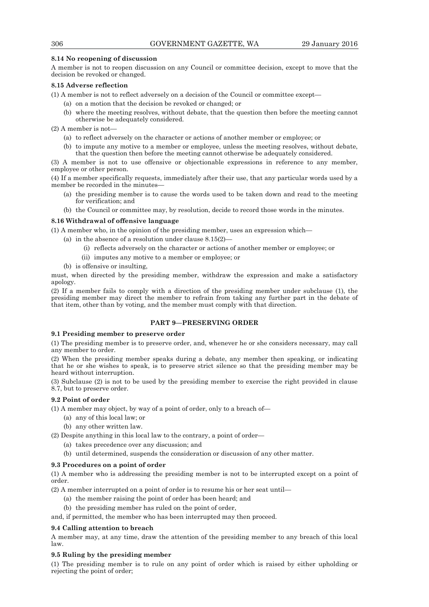## **8.14 No reopening of discussion**

A member is not to reopen discussion on any Council or committee decision, except to move that the decision be revoked or changed.

## **8.15 Adverse reflection**

(1) A member is not to reflect adversely on a decision of the Council or committee except—

- (a) on a motion that the decision be revoked or changed; or
- (b) where the meeting resolves, without debate, that the question then before the meeting cannot otherwise be adequately considered.

(2) A member is not—

- (a) to reflect adversely on the character or actions of another member or employee; or
- (b) to impute any motive to a member or employee, unless the meeting resolves, without debate, that the question then before the meeting cannot otherwise be adequately considered.

(3) A member is not to use offensive or objectionable expressions in reference to any member, employee or other person.

(4) If a member specifically requests, immediately after their use, that any particular words used by a member be recorded in the minutes—

- (a) the presiding member is to cause the words used to be taken down and read to the meeting for verification; and
- (b) the Council or committee may, by resolution, decide to record those words in the minutes.

#### **8.16 Withdrawal of offensive language**

(1) A member who, in the opinion of the presiding member, uses an expression which—

- (a) in the absence of a resolution under clause  $8.15(2)$ 
	- (i) reflects adversely on the character or actions of another member or employee; or
	- (ii) imputes any motive to a member or employee; or
- (b) is offensive or insulting,

must, when directed by the presiding member, withdraw the expression and make a satisfactory apology.

(2) If a member fails to comply with a direction of the presiding member under subclause (1), the presiding member may direct the member to refrain from taking any further part in the debate of that item, other than by voting, and the member must comply with that direction.

## **PART 9—PRESERVING ORDER**

## **9.1 Presiding member to preserve order**

(1) The presiding member is to preserve order, and, whenever he or she considers necessary, may call any member to order.

(2) When the presiding member speaks during a debate, any member then speaking, or indicating that he or she wishes to speak, is to preserve strict silence so that the presiding member may be heard without interruption.

(3) Subclause (2) is not to be used by the presiding member to exercise the right provided in clause 8.7, but to preserve order.

#### **9.2 Point of order**

(1) A member may object, by way of a point of order, only to a breach of—

- (a) any of this local law; or
- (b) any other written law.

(2) Despite anything in this local law to the contrary, a point of order—

- (a) takes precedence over any discussion; and
- (b) until determined, suspends the consideration or discussion of any other matter.

## **9.3 Procedures on a point of order**

(1) A member who is addressing the presiding member is not to be interrupted except on a point of order.

(2) A member interrupted on a point of order is to resume his or her seat until—

- (a) the member raising the point of order has been heard; and
- (b) the presiding member has ruled on the point of order,
- and, if permitted, the member who has been interrupted may then proceed.

## **9.4 Calling attention to breach**

A member may, at any time, draw the attention of the presiding member to any breach of this local law.

## **9.5 Ruling by the presiding member**

(1) The presiding member is to rule on any point of order which is raised by either upholding or rejecting the point of order;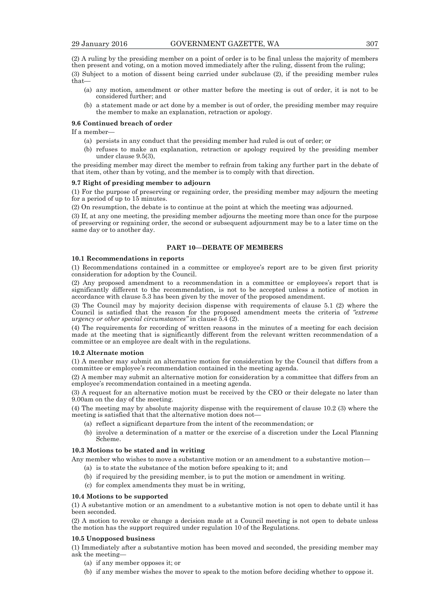(2) A ruling by the presiding member on a point of order is to be final unless the majority of members then present and voting, on a motion moved immediately after the ruling, dissent from the ruling;

(3) Subject to a motion of dissent being carried under subclause (2), if the presiding member rules that—

- (a) any motion, amendment or other matter before the meeting is out of order, it is not to be considered further; and
- (b) a statement made or act done by a member is out of order, the presiding member may require the member to make an explanation, retraction or apology.

#### **9.6 Continued breach of order**

If a member—

- (a) persists in any conduct that the presiding member had ruled is out of order; or
- (b) refuses to make an explanation, retraction or apology required by the presiding member under clause 9.5(3),

the presiding member may direct the member to refrain from taking any further part in the debate of that item, other than by voting, and the member is to comply with that direction.

#### **9.7 Right of presiding member to adjourn**

(1) For the purpose of preserving or regaining order, the presiding member may adjourn the meeting for a period of up to 15 minutes.

(2) On resumption, the debate is to continue at the point at which the meeting was adjourned.

(3) If, at any one meeting, the presiding member adjourns the meeting more than once for the purpose of preserving or regaining order, the second or subsequent adjournment may be to a later time on the same day or to another day.

#### **PART 10—DEBATE OF MEMBERS**

#### **10.1 Recommendations in reports**

(1) Recommendations contained in a committee or employee's report are to be given first priority consideration for adoption by the Council.

(2) Any proposed amendment to a recommendation in a committee or employees's report that is significantly different to the recommendation, is not to be accepted unless a notice of motion in accordance with clause 5.3 has been given by the mover of the proposed amendment.

(3) The Council may by majority decision dispense with requirements of clause 5.1 (2) where the Council is satisfied that the reason for the proposed amendment meets the criteria of *"extreme urgency or other special circumstances"* in clause 5.4 (2).

(4) The requirements for recording of written reasons in the minutes of a meeting for each decision made at the meeting that is significantly different from the relevant written recommendation of a committee or an employee are dealt with in the regulations.

#### **10.2 Alternate motion**

(1) A member may submit an alternative motion for consideration by the Council that differs from a committee or employee's recommendation contained in the meeting agenda.

(2) A member may submit an alternative motion for consideration by a committee that differs from an employee's recommendation contained in a meeting agenda.

(3) A request for an alternative motion must be received by the CEO or their delegate no later than 9.00am on the day of the meeting.

(4) The meeting may by absolute majority dispense with the requirement of clause 10.2 (3) where the meeting is satisfied that that the alternative motion does not—

- (a) reflect a significant departure from the intent of the recommendation; or
- (b) involve a determination of a matter or the exercise of a discretion under the Local Planning Scheme.

#### **10.3 Motions to be stated and in writing**

Any member who wishes to move a substantive motion or an amendment to a substantive motion—

- (a) is to state the substance of the motion before speaking to it; and
- (b) if required by the presiding member, is to put the motion or amendment in writing.
- (c) for complex amendments they must be in writing,

#### **10.4 Motions to be supported**

(1) A substantive motion or an amendment to a substantive motion is not open to debate until it has been seconded.

(2) A motion to revoke or change a decision made at a Council meeting is not open to debate unless the motion has the support required under regulation 10 of the Regulations.

#### **10.5 Unopposed business**

(1) Immediately after a substantive motion has been moved and seconded, the presiding member may ask the meeting—

- (a) if any member opposes it; or
- (b) if any member wishes the mover to speak to the motion before deciding whether to oppose it.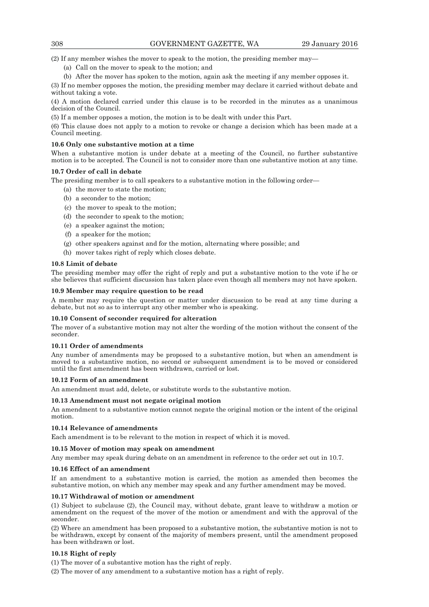(2) If any member wishes the mover to speak to the motion, the presiding member may—

- (a) Call on the mover to speak to the motion; and
- (b) After the mover has spoken to the motion, again ask the meeting if any member opposes it.

(3) If no member opposes the motion, the presiding member may declare it carried without debate and without taking a vote.

(4) A motion declared carried under this clause is to be recorded in the minutes as a unanimous decision of the Council.

(5) If a member opposes a motion, the motion is to be dealt with under this Part.

(6) This clause does not apply to a motion to revoke or change a decision which has been made at a Council meeting.

#### **10.6 Only one substantive motion at a time**

When a substantive motion is under debate at a meeting of the Council, no further substantive motion is to be accepted. The Council is not to consider more than one substantive motion at any time.

#### **10.7 Order of call in debate**

The presiding member is to call speakers to a substantive motion in the following order—

- (a) the mover to state the motion;
- (b) a seconder to the motion;
- (c) the mover to speak to the motion;
- (d) the seconder to speak to the motion;
- (e) a speaker against the motion;
- (f) a speaker for the motion;
- (g) other speakers against and for the motion, alternating where possible; and
- (h) mover takes right of reply which closes debate.

#### **10.8 Limit of debate**

The presiding member may offer the right of reply and put a substantive motion to the vote if he or she believes that sufficient discussion has taken place even though all members may not have spoken.

#### **10.9 Member may require question to be read**

A member may require the question or matter under discussion to be read at any time during a debate, but not so as to interrupt any other member who is speaking.

## **10.10 Consent of seconder required for alteration**

The mover of a substantive motion may not alter the wording of the motion without the consent of the seconder.

#### **10.11 Order of amendments**

Any number of amendments may be proposed to a substantive motion, but when an amendment is moved to a substantive motion, no second or subsequent amendment is to be moved or considered until the first amendment has been withdrawn, carried or lost.

#### **10.12 Form of an amendment**

An amendment must add, delete, or substitute words to the substantive motion.

#### **10.13 Amendment must not negate original motion**

An amendment to a substantive motion cannot negate the original motion or the intent of the original motion.

#### **10.14 Relevance of amendments**

Each amendment is to be relevant to the motion in respect of which it is moved.

#### **10.15 Mover of motion may speak on amendment**

Any member may speak during debate on an amendment in reference to the order set out in 10.7.

#### **10.16 Effect of an amendment**

If an amendment to a substantive motion is carried, the motion as amended then becomes the substantive motion, on which any member may speak and any further amendment may be moved.

#### **10.17 Withdrawal of motion or amendment**

(1) Subject to subclause (2), the Council may, without debate, grant leave to withdraw a motion or amendment on the request of the mover of the motion or amendment and with the approval of the seconder.

(2) Where an amendment has been proposed to a substantive motion, the substantive motion is not to be withdrawn, except by consent of the majority of members present, until the amendment proposed has been withdrawn or lost.

#### **10.18 Right of reply**

(1) The mover of a substantive motion has the right of reply.

(2) The mover of any amendment to a substantive motion has a right of reply.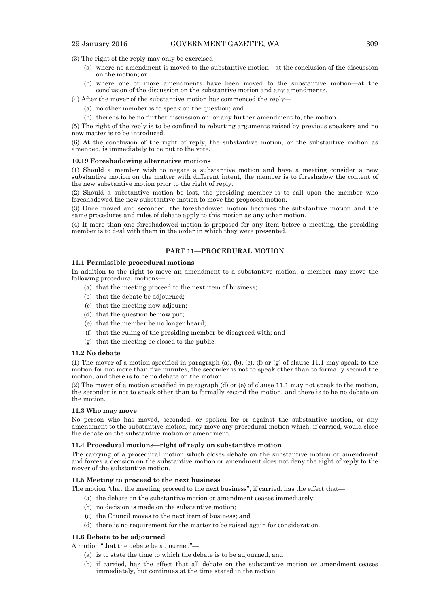(3) The right of the reply may only be exercised—

- (a) where no amendment is moved to the substantive motion—at the conclusion of the discussion on the motion; or
- (b) where one or more amendments have been moved to the substantive motion—at the conclusion of the discussion on the substantive motion and any amendments.
- (4) After the mover of the substantive motion has commenced the reply—
	- (a) no other member is to speak on the question; and
	- (b) there is to be no further discussion on, or any further amendment to, the motion.

(5) The right of the reply is to be confined to rebutting arguments raised by previous speakers and no new matter is to be introduced.

(6) At the conclusion of the right of reply, the substantive motion, or the substantive motion as amended, is immediately to be put to the vote.

#### **10.19 Foreshadowing alternative motions**

(1) Should a member wish to negate a substantive motion and have a meeting consider a new substantive motion on the matter with different intent, the member is to foreshadow the content of the new substantive motion prior to the right of reply.

(2) Should a substantive motion be lost, the presiding member is to call upon the member who foreshadowed the new substantive motion to move the proposed motion.

(3) Once moved and seconded, the foreshadowed motion becomes the substantive motion and the same procedures and rules of debate apply to this motion as any other motion.

(4) If more than one foreshadowed motion is proposed for any item before a meeting, the presiding member is to deal with them in the order in which they were presented.

## **PART 11—PROCEDURAL MOTION**

#### **11.1 Permissible procedural motions**

In addition to the right to move an amendment to a substantive motion, a member may move the following procedural motions—

- (a) that the meeting proceed to the next item of business;
- (b) that the debate be adjourned;
- (c) that the meeting now adjourn;
- (d) that the question be now put;
- (e) that the member be no longer heard;
- (f) that the ruling of the presiding member be disagreed with; and
- (g) that the meeting be closed to the public.

#### **11.2 No debate**

(1) The mover of a motion specified in paragraph (a), (b), (c), (f) or (g) of clause 11.1 may speak to the motion for not more than five minutes, the seconder is not to speak other than to formally second the motion, and there is to be no debate on the motion.

(2) The mover of a motion specified in paragraph (d) or (e) of clause 11.1 may not speak to the motion, the seconder is not to speak other than to formally second the motion, and there is to be no debate on the motion.

#### **11.3 Who may move**

No person who has moved, seconded, or spoken for or against the substantive motion, or any amendment to the substantive motion, may move any procedural motion which, if carried, would close the debate on the substantive motion or amendment.

## **11.4 Procedural motions—right of reply on substantive motion**

The carrying of a procedural motion which closes debate on the substantive motion or amendment and forces a decision on the substantive motion or amendment does not deny the right of reply to the mover of the substantive motion.

## **11.5 Meeting to proceed to the next business**

- The motion "that the meeting proceed to the next business", if carried, has the effect that—
	- (a) the debate on the substantive motion or amendment ceases immediately;
	- (b) no decision is made on the substantive motion;
	- (c) the Council moves to the next item of business; and
	- (d) there is no requirement for the matter to be raised again for consideration.

## **11.6 Debate to be adjourned**

A motion "that the debate be adjourned"—

- (a) is to state the time to which the debate is to be adjourned; and
- (b) if carried, has the effect that all debate on the substantive motion or amendment ceases immediately, but continues at the time stated in the motion.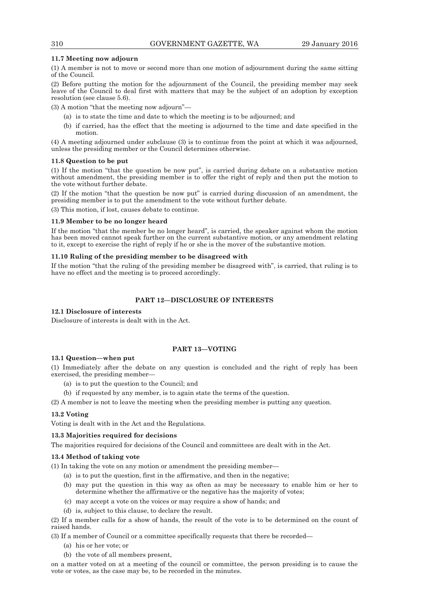#### **11.7 Meeting now adjourn**

(1) A member is not to move or second more than one motion of adjournment during the same sitting of the Council.

(2) Before putting the motion for the adjournment of the Council, the presiding member may seek leave of the Council to deal first with matters that may be the subject of an adoption by exception resolution (see clause 5.6).

(3) A motion "that the meeting now adjourn"—

- (a) is to state the time and date to which the meeting is to be adjourned; and
- (b) if carried, has the effect that the meeting is adjourned to the time and date specified in the motion.

(4) A meeting adjourned under subclause (3) is to continue from the point at which it was adjourned, unless the presiding member or the Council determines otherwise.

#### **11.8 Question to be put**

(1) If the motion "that the question be now put", is carried during debate on a substantive motion without amendment, the presiding member is to offer the right of reply and then put the motion to the vote without further debate.

(2) If the motion "that the question be now put" is carried during discussion of an amendment, the presiding member is to put the amendment to the vote without further debate.

(3) This motion, if lost, causes debate to continue.

#### **11.9 Member to be no longer heard**

If the motion "that the member be no longer heard", is carried, the speaker against whom the motion has been moved cannot speak further on the current substantive motion, or any amendment relating to it, except to exercise the right of reply if he or she is the mover of the substantive motion.

#### **11.10 Ruling of the presiding member to be disagreed with**

If the motion "that the ruling of the presiding member be disagreed with", is carried, that ruling is to have no effect and the meeting is to proceed accordingly.

## **PART 12—DISCLOSURE OF INTERESTS**

#### **12.1 Disclosure of interests**

Disclosure of interests is dealt with in the Act.

## **PART 13—VOTING**

#### **13.1 Question—when put**

(1) Immediately after the debate on any question is concluded and the right of reply has been exercised, the presiding member—

- (a) is to put the question to the Council; and
- (b) if requested by any member, is to again state the terms of the question.

(2) A member is not to leave the meeting when the presiding member is putting any question.

#### **13.2 Voting**

Voting is dealt with in the Act and the Regulations.

## **13.3 Majorities required for decisions**

The majorities required for decisions of the Council and committees are dealt with in the Act.

#### **13.4 Method of taking vote**

(1) In taking the vote on any motion or amendment the presiding member—

- (a) is to put the question, first in the affirmative, and then in the negative;
- (b) may put the question in this way as often as may be necessary to enable him or her to determine whether the affirmative or the negative has the majority of votes;
- (c) may accept a vote on the voices or may require a show of hands; and
- (d) is, subject to this clause, to declare the result.

(2) If a member calls for a show of hands, the result of the vote is to be determined on the count of raised hands.

(3) If a member of Council or a committee specifically requests that there be recorded—

- (a) his or her vote; or
- (b) the vote of all members present,

on a matter voted on at a meeting of the council or committee, the person presiding is to cause the vote or votes, as the case may be, to be recorded in the minutes.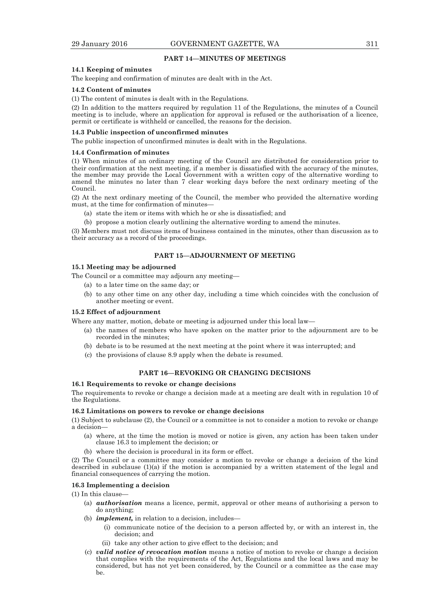## **PART 14—MINUTES OF MEETINGS**

#### **14.1 Keeping of minutes**

The keeping and confirmation of minutes are dealt with in the Act.

#### **14.2 Content of minutes**

(1) The content of minutes is dealt with in the Regulations.

(2) In addition to the matters required by regulation 11 of the Regulations, the minutes of a Council meeting is to include, where an application for approval is refused or the authorisation of a licence, permit or certificate is withheld or cancelled, the reasons for the decision.

## **14.3 Public inspection of unconfirmed minutes**

The public inspection of unconfirmed minutes is dealt with in the Regulations.

#### **14.4 Confirmation of minutes**

(1) When minutes of an ordinary meeting of the Council are distributed for consideration prior to their confirmation at the next meeting, if a member is dissatisfied with the accuracy of the minutes, the member may provide the Local Government with a written copy of the alternative wording to amend the minutes no later than 7 clear working days before the next ordinary meeting of the Council.

(2) At the next ordinary meeting of the Council, the member who provided the alternative wording must, at the time for confirmation of minutes—

(a) state the item or items with which he or she is dissatisfied; and

(b) propose a motion clearly outlining the alternative wording to amend the minutes.

(3) Members must not discuss items of business contained in the minutes, other than discussion as to their accuracy as a record of the proceedings.

## **PART 15—ADJOURNMENT OF MEETING**

## **15.1 Meeting may be adjourned**

The Council or a committee may adjourn any meeting—

- (a) to a later time on the same day; or
- (b) to any other time on any other day, including a time which coincides with the conclusion of another meeting or event.

#### **15.2 Effect of adjournment**

Where any matter, motion, debate or meeting is adjourned under this local law—

- (a) the names of members who have spoken on the matter prior to the adjournment are to be recorded in the minutes;
- (b) debate is to be resumed at the next meeting at the point where it was interrupted; and
- (c) the provisions of clause 8.9 apply when the debate is resumed.

## **PART 16—REVOKING OR CHANGING DECISIONS**

#### **16.1 Requirements to revoke or change decisions**

The requirements to revoke or change a decision made at a meeting are dealt with in regulation 10 of the Regulations.

#### **16.2 Limitations on powers to revoke or change decisions**

(1) Subject to subclause (2), the Council or a committee is not to consider a motion to revoke or change a decision—

- (a) where, at the time the motion is moved or notice is given, any action has been taken under clause 16.3 to implement the decision; or
- (b) where the decision is procedural in its form or effect.

(2) The Council or a committee may consider a motion to revoke or change a decision of the kind described in subclause (1)(a) if the motion is accompanied by a written statement of the legal and financial consequences of carrying the motion.

## **16.3 Implementing a decision**

(1) In this clause—

- (a) *authorisation* means a licence, permit, approval or other means of authorising a person to do anything;
- (b) *implement,* in relation to a decision, includes—
	- (i) communicate notice of the decision to a person affected by, or with an interest in, the decision; and
	- (ii) take any other action to give effect to the decision; and
- (c) *valid notice of revocation motion* means a notice of motion to revoke or change a decision that complies with the requirements of the Act, Regulations and the local laws and may be considered, but has not yet been considered, by the Council or a committee as the case may be.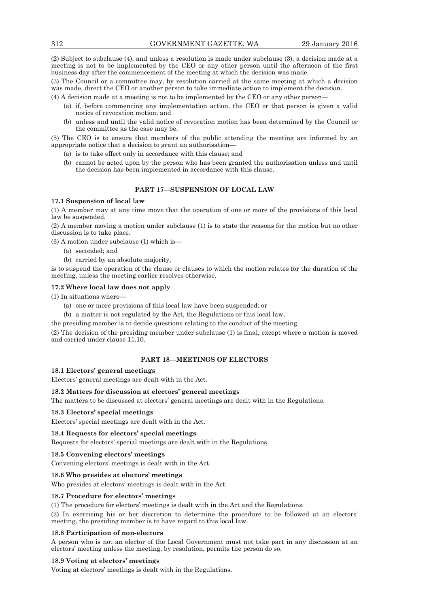(2) Subject to subclause (4), and unless a resolution is made under subclause (3), a decision made at a meeting is not to be implemented by the CEO or any other person until the afternoon of the first business day after the commencement of the meeting at which the decision was made.

(3) The Council or a committee may, by resolution carried at the same meeting at which a decision was made, direct the CEO or another person to take immediate action to implement the decision.

(4) A decision made at a meeting is not to be implemented by the CEO or any other person—

- (a) if, before commencing any implementation action, the CEO or that person is given a valid notice of revocation motion; and
- (b) unless and until the valid notice of revocation motion has been determined by the Council or the committee as the case may be.

(5) The CEO is to ensure that members of the public attending the meeting are informed by an appropriate notice that a decision to grant an authorisation—

- (a) is to take effect only in accordance with this clause; and
- (b) cannot be acted upon by the person who has been granted the authorisation unless and until the decision has been implemented in accordance with this clause.

## **PART 17—SUSPENSION OF LOCAL LAW**

## **17.1 Suspension of local law**

(1) A member may at any time move that the operation of one or more of the provisions of this local law be suspended.

(2) A member moving a motion under subclause (1) is to state the reasons for the motion but no other discussion is to take place.

(3) A motion under subclause (1) which is—

- (a) seconded; and
- (b) carried by an absolute majority,

is to suspend the operation of the clause or clauses to which the motion relates for the duration of the meeting, unless the meeting earlier resolves otherwise.

## **17.2 Where local law does not apply**

(1) In situations where—

- (a) one or more provisions of this local law have been suspended; or
- (b) a matter is not regulated by the Act, the Regulations or this local law,

the presiding member is to decide questions relating to the conduct of the meeting.

(2) The decision of the presiding member under subclause (1) is final, except where a motion is moved and carried under clause 11.10.

## **PART 18—MEETINGS OF ELECTORS**

## **18.1 Electors' general meetings**

Electors' general meetings are dealt with in the Act.

#### **18.2 Matters for discussion at electors' general meetings**

The matters to be discussed at electors' general meetings are dealt with in the Regulations.

#### **18.3 Electors' special meetings**

Electors' special meetings are dealt with in the Act.

#### **18.4 Requests for electors' special meetings**

Requests for electors' special meetings are dealt with in the Regulations.

#### **18.5 Convening electors' meetings**

Convening electors' meetings is dealt with in the Act.

#### **18.6 Who presides at electors' meetings**

Who presides at electors' meetings is dealt with in the Act.

## **18.7 Procedure for electors' meetings**

(1) The procedure for electors' meetings is dealt with in the Act and the Regulations.

(2) In exercising his or her discretion to determine the procedure to be followed at an electors' meeting, the presiding member is to have regard to this local law.

#### **18.8 Participation of non-electors**

A person who is not an elector of the Local Government must not take part in any discussion at an electors' meeting unless the meeting, by resolution, permits the person do so.

#### **18.9 Voting at electors' meetings**

Voting at electors' meetings is dealt with in the Regulations.